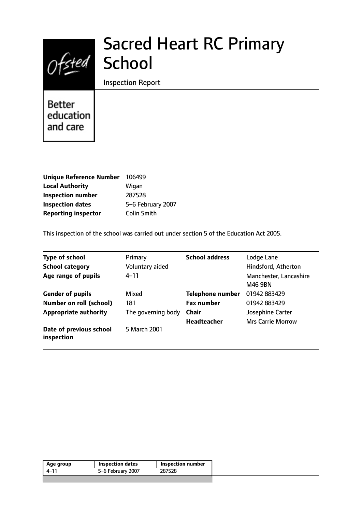# Ofsted School

# Sacred Heart RC Primary

Inspection Report

Better education and care

| <b>Unique Reference Number</b> | 106499             |
|--------------------------------|--------------------|
| <b>Local Authority</b>         | Wigan              |
| <b>Inspection number</b>       | 287528             |
| <b>Inspection dates</b>        | 5-6 February 2007  |
| <b>Reporting inspector</b>     | <b>Colin Smith</b> |

This inspection of the school was carried out under section 5 of the Education Act 2005.

| <b>Type of school</b>                 | Primary            | <b>School address</b>   | Lodge Lane                        |
|---------------------------------------|--------------------|-------------------------|-----------------------------------|
| <b>School category</b>                | Voluntary aided    |                         | Hindsford, Atherton               |
| Age range of pupils                   | $4 - 11$           |                         | Manchester, Lancashire<br>M46 9BN |
| <b>Gender of pupils</b>               | Mixed              | <b>Telephone number</b> | 01942 883429                      |
| <b>Number on roll (school)</b>        | 181                | <b>Fax number</b>       | 01942 883429                      |
| <b>Appropriate authority</b>          | The governing body | <b>Chair</b>            | Josephine Carter                  |
|                                       |                    | <b>Headteacher</b>      | <b>Mrs Carrie Morrow</b>          |
| Date of previous school<br>inspection | 5 March 2001       |                         |                                   |

| 5–6 February 2007<br>287528<br>4–11 | Age group | <b>Inspection dates</b> | <b>Inspection number</b> |
|-------------------------------------|-----------|-------------------------|--------------------------|
|                                     |           |                         |                          |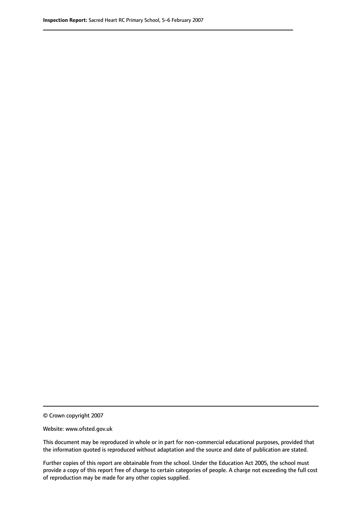© Crown copyright 2007

Website: www.ofsted.gov.uk

This document may be reproduced in whole or in part for non-commercial educational purposes, provided that the information quoted is reproduced without adaptation and the source and date of publication are stated.

Further copies of this report are obtainable from the school. Under the Education Act 2005, the school must provide a copy of this report free of charge to certain categories of people. A charge not exceeding the full cost of reproduction may be made for any other copies supplied.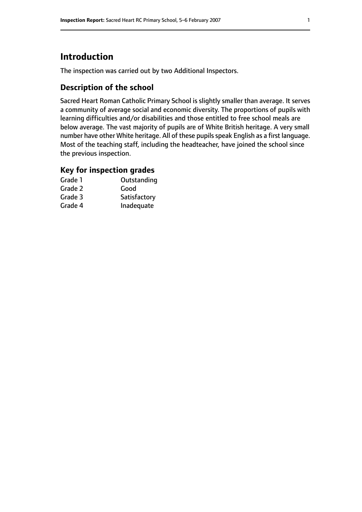# **Introduction**

The inspection was carried out by two Additional Inspectors.

## **Description of the school**

Sacred Heart Roman Catholic Primary School is slightly smaller than average. It serves a community of average social and economic diversity. The proportions of pupils with learning difficulties and/or disabilities and those entitled to free school meals are below average. The vast majority of pupils are of White British heritage. A very small number have other White heritage. All of these pupils speak English as a first language. Most of the teaching staff, including the headteacher, have joined the school since the previous inspection.

### **Key for inspection grades**

| Grade 1 | Outstanding  |
|---------|--------------|
| Grade 2 | Good         |
| Grade 3 | Satisfactory |
| Grade 4 | Inadequate   |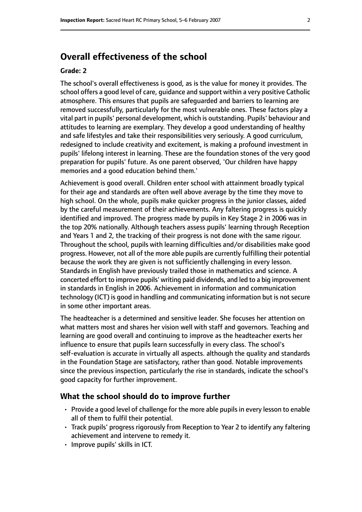# **Overall effectiveness of the school**

#### **Grade: 2**

The school's overall effectiveness is good, as is the value for money it provides. The school offers a good level of care, guidance and support within a very positive Catholic atmosphere. This ensures that pupils are safeguarded and barriers to learning are removed successfully, particularly for the most vulnerable ones. These factors play a vital part in pupils' personal development, which is outstanding. Pupils' behaviour and attitudes to learning are exemplary. They develop a good understanding of healthy and safe lifestyles and take their responsibilities very seriously. A good curriculum, redesigned to include creativity and excitement, is making a profound investment in pupils' lifelong interest in learning. These are the foundation stones of the very good preparation for pupils' future. As one parent observed, 'Our children have happy memories and a good education behind them.'

Achievement is good overall. Children enter school with attainment broadly typical for their age and standards are often well above average by the time they move to high school. On the whole, pupils make quicker progress in the junior classes, aided by the careful measurement of their achievements. Any faltering progress is quickly identified and improved. The progress made by pupils in Key Stage 2 in 2006 was in the top 20% nationally. Although teachers assess pupils' learning through Reception and Years 1 and 2, the tracking of their progress is not done with the same rigour. Throughout the school, pupils with learning difficulties and/or disabilities make good progress. However, not all of the more able pupils are currently fulfilling their potential because the work they are given is not sufficiently challenging in every lesson. Standards in English have previously trailed those in mathematics and science. A concerted effort to improve pupils' writing paid dividends, and led to a big improvement in standards in English in 2006. Achievement in information and communication technology (ICT) is good in handling and communicating information but is not secure in some other important areas.

The headteacher is a determined and sensitive leader. She focuses her attention on what matters most and shares her vision well with staff and governors. Teaching and learning are good overall and continuing to improve as the headteacher exerts her influence to ensure that pupils learn successfully in every class. The school's self-evaluation is accurate in virtually all aspects. although the quality and standards in the Foundation Stage are satisfactory, rather than good. Notable improvements since the previous inspection, particularly the rise in standards, indicate the school's good capacity for further improvement.

#### **What the school should do to improve further**

- Provide a good level of challenge for the more able pupils in every lesson to enable all of them to fulfil their potential.
- Track pupils' progress rigorously from Reception to Year 2 to identify any faltering achievement and intervene to remedy it.
- Improve pupils' skills in ICT.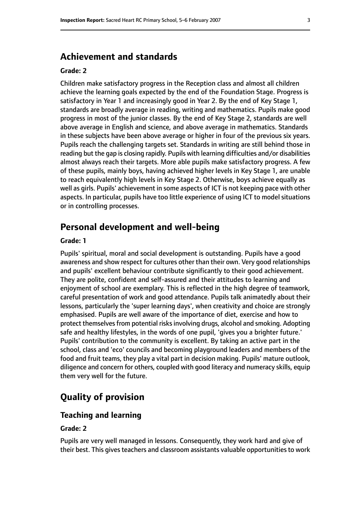## **Achievement and standards**

#### **Grade: 2**

Children make satisfactory progress in the Reception class and almost all children achieve the learning goals expected by the end of the Foundation Stage. Progress is satisfactory in Year 1 and increasingly good in Year 2. By the end of Key Stage 1, standards are broadly average in reading, writing and mathematics. Pupils make good progress in most of the junior classes. By the end of Key Stage 2, standards are well above average in English and science, and above average in mathematics. Standards in these subjects have been above average or higher in four of the previous six years. Pupils reach the challenging targets set. Standards in writing are still behind those in reading but the gap is closing rapidly. Pupils with learning difficulties and/or disabilities almost always reach their targets. More able pupils make satisfactory progress. A few of these pupils, mainly boys, having achieved higher levels in Key Stage 1, are unable to reach equivalently high levels in Key Stage 2. Otherwise, boys achieve equally as well as girls. Pupils' achievement in some aspects of ICT is not keeping pace with other aspects. In particular, pupils have too little experience of using ICT to model situations or in controlling processes.

# **Personal development and well-being**

#### **Grade: 1**

Pupils' spiritual, moral and social development is outstanding. Pupils have a good awareness and show respect for cultures other than their own. Very good relationships and pupils' excellent behaviour contribute significantly to their good achievement. They are polite, confident and self-assured and their attitudes to learning and enjoyment of school are exemplary. This is reflected in the high degree of teamwork, careful presentation of work and good attendance. Pupils talk animatedly about their lessons, particularly the 'super learning days', when creativity and choice are strongly emphasised. Pupils are well aware of the importance of diet, exercise and how to protect themselves from potential risks involving drugs, alcohol and smoking. Adopting safe and healthy lifestyles, in the words of one pupil, 'gives you a brighter future.' Pupils' contribution to the community is excellent. By taking an active part in the school, class and 'eco' councils and becoming playground leaders and members of the food and fruit teams, they play a vital part in decision making. Pupils' mature outlook, diligence and concern for others, coupled with good literacy and numeracy skills, equip them very well for the future.

# **Quality of provision**

#### **Teaching and learning**

#### **Grade: 2**

Pupils are very well managed in lessons. Consequently, they work hard and give of their best. This gives teachers and classroom assistants valuable opportunities to work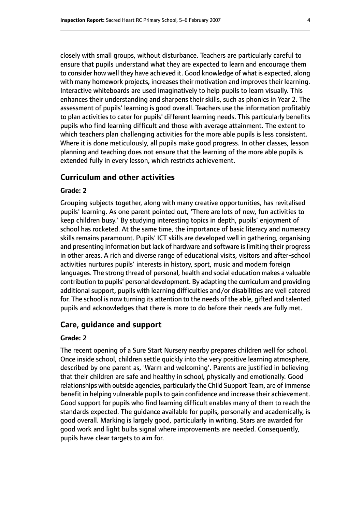closely with small groups, without disturbance. Teachers are particularly careful to ensure that pupils understand what they are expected to learn and encourage them to consider how well they have achieved it. Good knowledge of what is expected, along with many homework projects, increases their motivation and improves their learning. Interactive whiteboards are used imaginatively to help pupils to learn visually. This enhances their understanding and sharpens their skills, such as phonics in Year 2. The assessment of pupils' learning is good overall. Teachers use the information profitably to plan activities to cater for pupils' different learning needs. This particularly benefits pupils who find learning difficult and those with average attainment. The extent to which teachers plan challenging activities for the more able pupils is less consistent. Where it is done meticulously, all pupils make good progress. In other classes, lesson planning and teaching does not ensure that the learning of the more able pupils is extended fully in every lesson, which restricts achievement.

#### **Curriculum and other activities**

#### **Grade: 2**

Grouping subjects together, along with many creative opportunities, has revitalised pupils' learning. As one parent pointed out, 'There are lots of new, fun activities to keep children busy.' By studying interesting topics in depth, pupils' enjoyment of school has rocketed. At the same time, the importance of basic literacy and numeracy skills remains paramount. Pupils' ICT skills are developed well in gathering, organising and presenting information but lack of hardware and software is limiting their progress in other areas. A rich and diverse range of educational visits, visitors and after-school activities nurtures pupils' interests in history, sport, music and modern foreign languages. The strong thread of personal, health and social education makes a valuable contribution to pupils' personal development. By adapting the curriculum and providing additional support, pupils with learning difficulties and/or disabilities are well catered for. The school is now turning its attention to the needs of the able, gifted and talented pupils and acknowledges that there is more to do before their needs are fully met.

#### **Care, guidance and support**

#### **Grade: 2**

The recent opening of a Sure Start Nursery nearby prepares children well for school. Once inside school, children settle quickly into the very positive learning atmosphere, described by one parent as, 'Warm and welcoming'. Parents are justified in believing that their children are safe and healthy in school, physically and emotionally. Good relationships with outside agencies, particularly the Child Support Team, are of immense benefit in helping vulnerable pupils to gain confidence and increase their achievement. Good support for pupils who find learning difficult enables many of them to reach the standards expected. The guidance available for pupils, personally and academically, is good overall. Marking is largely good, particularly in writing. Stars are awarded for good work and light bulbs signal where improvements are needed. Consequently, pupils have clear targets to aim for.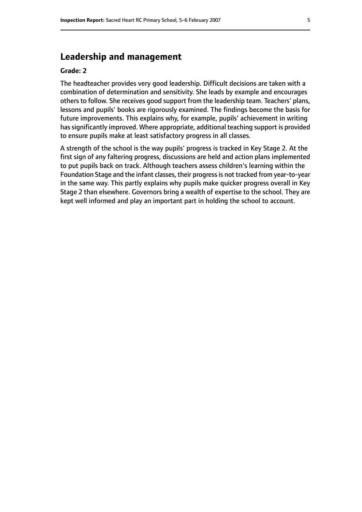# **Leadership and management**

#### **Grade: 2**

The headteacher provides very good leadership. Difficult decisions are taken with a combination of determination and sensitivity. She leads by example and encourages others to follow. She receives good support from the leadership team. Teachers' plans, lessons and pupils' books are rigorously examined. The findings become the basis for future improvements. This explains why, for example, pupils' achievement in writing has significantly improved. Where appropriate, additional teaching support is provided to ensure pupils make at least satisfactory progress in all classes.

A strength of the school is the way pupils' progress is tracked in Key Stage 2. At the first sign of any faltering progress, discussions are held and action plans implemented to put pupils back on track. Although teachers assess children's learning within the Foundation Stage and the infant classes, their progressis not tracked from year-to-year in the same way. This partly explains why pupils make quicker progress overall in Key Stage 2 than elsewhere. Governors bring a wealth of expertise to the school. They are kept well informed and play an important part in holding the school to account.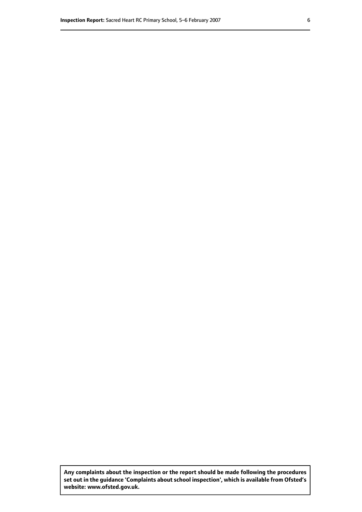**Any complaints about the inspection or the report should be made following the procedures set out inthe guidance 'Complaints about school inspection', whichis available from Ofsted's website: www.ofsted.gov.uk.**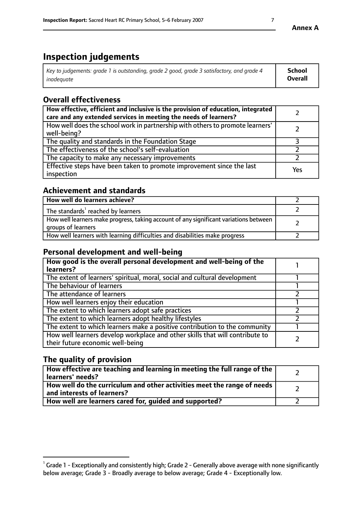# **Inspection judgements**

| Key to judgements: grade 1 is outstanding, grade 2 good, grade 3 satisfactory, and grade 4 | School  |
|--------------------------------------------------------------------------------------------|---------|
| inadeauate                                                                                 | Overall |

# **Overall effectiveness**

| How effective, efficient and inclusive is the provision of education, integrated<br>care and any extended services in meeting the needs of learners? |     |
|------------------------------------------------------------------------------------------------------------------------------------------------------|-----|
| How well does the school work in partnership with others to promote learners'<br>well-being?                                                         |     |
| The quality and standards in the Foundation Stage                                                                                                    |     |
| The effectiveness of the school's self-evaluation                                                                                                    |     |
| The capacity to make any necessary improvements                                                                                                      |     |
| Effective steps have been taken to promote improvement since the last<br>inspection                                                                  | Yes |

## **Achievement and standards**

| How well do learners achieve?                                                                               |  |
|-------------------------------------------------------------------------------------------------------------|--|
| The standards <sup>1</sup> reached by learners                                                              |  |
| How well learners make progress, taking account of any significant variations between<br>groups of learners |  |
| How well learners with learning difficulties and disabilities make progress                                 |  |

## **Personal development and well-being**

| How good is the overall personal development and well-being of the<br>learners?                                  |  |
|------------------------------------------------------------------------------------------------------------------|--|
| The extent of learners' spiritual, moral, social and cultural development                                        |  |
| The behaviour of learners                                                                                        |  |
| The attendance of learners                                                                                       |  |
| How well learners enjoy their education                                                                          |  |
| The extent to which learners adopt safe practices                                                                |  |
| The extent to which learners adopt healthy lifestyles                                                            |  |
| The extent to which learners make a positive contribution to the community                                       |  |
| How well learners develop workplace and other skills that will contribute to<br>their future economic well-being |  |

# **The quality of provision**

| How effective are teaching and learning in meeting the full range of the<br>learners' needs?          |  |
|-------------------------------------------------------------------------------------------------------|--|
| How well do the curriculum and other activities meet the range of needs<br>and interests of learners? |  |
| How well are learners cared for, guided and supported?                                                |  |

 $^1$  Grade 1 - Exceptionally and consistently high; Grade 2 - Generally above average with none significantly below average; Grade 3 - Broadly average to below average; Grade 4 - Exceptionally low.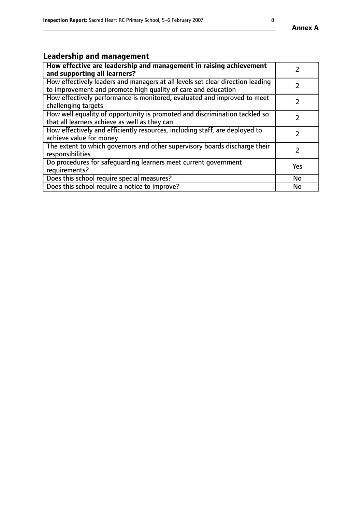# **Leadership and management**

| How effective are leadership and management in raising achievement<br>and supporting all learners?                                              |               |
|-------------------------------------------------------------------------------------------------------------------------------------------------|---------------|
| How effectively leaders and managers at all levels set clear direction leading<br>to improvement and promote high quality of care and education |               |
| How effectively performance is monitored, evaluated and improved to meet<br>challenging targets                                                 | $\mathcal{L}$ |
| How well equality of opportunity is promoted and discrimination tackled so<br>that all learners achieve as well as they can                     |               |
| How effectively and efficiently resources, including staff, are deployed to<br>achieve value for money                                          | $\mathcal{L}$ |
| The extent to which governors and other supervisory boards discharge their<br>responsibilities                                                  |               |
| Do procedures for safequarding learners meet current government<br>requirements?                                                                | Yes           |
| Does this school require special measures?                                                                                                      | No            |
| Does this school require a notice to improve?                                                                                                   | <b>No</b>     |